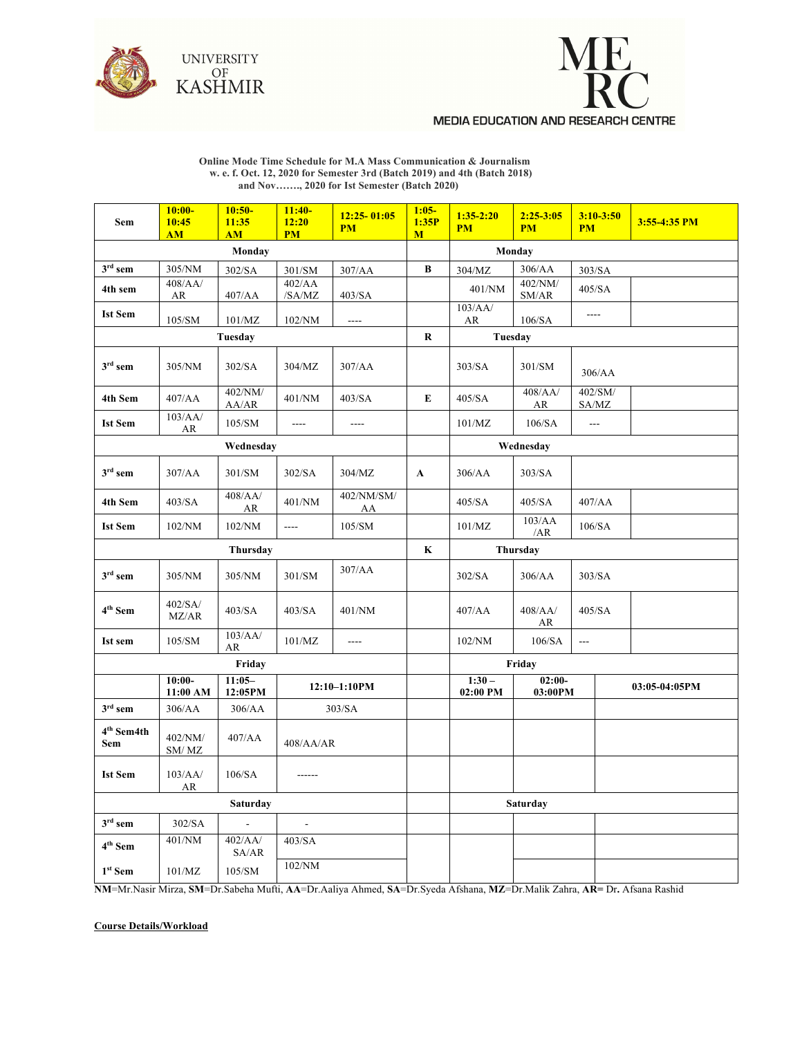



## **Online Mode Time Schedule for M.A Mass Communication & Journalism w. e. f. Oct. 12, 2020 for Semester 3rd (Batch 2019) and 4th (Batch 2018) and Nov……., 2020 for Ist Semester (Batch 2020)**

| Sem                           | $10:00 -$<br>10:45<br>AM | $10:50-$<br>11:35<br>AM | $11:40-$<br>12:20<br><b>PM</b>                               | $12:25 - 01:05$<br><b>PM</b> | $1:05-$<br>1:35P<br>$\bf{M}$ | $1:35-2:20$<br><b>PM</b> | $2:25 - 3:05$<br><b>PM</b> | $3:10 - 3:50$<br><b>PM</b> | $3:55-4:35$ PM |
|-------------------------------|--------------------------|-------------------------|--------------------------------------------------------------|------------------------------|------------------------------|--------------------------|----------------------------|----------------------------|----------------|
| Monday                        |                          |                         |                                                              |                              |                              | Monday                   |                            |                            |                |
| $3^{rd}$ sem                  | 305/NM                   | 302/SA                  | 301/SM                                                       | 307/AA                       | B                            | 304/MZ                   | 306/AA                     | 303/SA                     |                |
| 4th sem                       | 408/AA/<br>AR            | 407/AA                  | 402/AA<br>/SA/MZ                                             | 403/SA                       |                              | 401/NM                   | 402/NM/<br>SM/AR           | 405/SA                     |                |
| <b>Ist Sem</b>                | 105/SM                   | 101/MZ                  | $102/\mbox{NM}$                                              | ----                         |                              | 103/AA/<br>AR            | 106/SA                     | ----                       |                |
| Tuesday                       |                          |                         |                                                              |                              | $\bf R$                      | Tuesday                  |                            |                            |                |
| $3rd$ sem                     | 305/NM                   | 302/SA                  | 304/MZ                                                       | 307/AA                       |                              | 303/SA                   | 301/SM                     | 306/AA                     |                |
| 4th Sem                       | 407/AA                   | 402/NM/<br>AA/AR        | 401/NM                                                       | 403/SA                       | E                            | 405/SA                   | 408/AA/<br>AR              | 402/SM/<br>SA/MZ           |                |
| <b>Ist Sem</b>                | 103/AA/<br>AR            | 105/SM                  | ----                                                         | $\frac{1}{2}$                |                              | 101/MZ                   | 106/SA                     | $\overline{a}$             |                |
| Wednesday                     |                          |                         |                                                              |                              |                              | Wednesday                |                            |                            |                |
| $3rd$ sem                     | 307/AA                   | 301/SM                  | 302/SA                                                       | 304/MZ                       | $\mathbf{A}$                 | 306/AA                   | 303/SA                     |                            |                |
| 4th Sem                       | 403/SA                   | 408/AA/<br>AR           | 401/NM                                                       | 402/NM/SM/<br>AA             |                              | 405/SA                   | 405/SA                     | 407/AA                     |                |
| <b>Ist Sem</b>                | 102/NM                   | 102/NM                  | $\overline{a}$                                               | 105/SM                       |                              | 101/MZ                   | 103/AA<br>/AR              | 106/SA                     |                |
| Thursday                      |                          |                         |                                                              |                              | K                            | Thursday                 |                            |                            |                |
| $3rd$ sem                     | 305/NM                   | 305/NM                  | 301/SM                                                       | 307/AA                       |                              | 302/SA                   | 306/AA                     | 303/SA                     |                |
| $4th$ Sem                     | 402/SA/<br>MZ/AR         | 403/SA                  | 403/SA                                                       | 401/NM                       |                              | 407/AA                   | $408/AA/$<br>AR            | 405/SA                     |                |
| Ist sem                       | 105/SM                   | 103/AA/<br>AR           | 101/MZ                                                       | ----                         |                              | 102/NM                   | 106/SA                     | $\overline{a}$             |                |
| Friday                        |                          |                         |                                                              |                              |                              | Friday                   |                            |                            |                |
|                               | $10:00 -$<br>11:00 AM    | $11:05-$<br>12:05PM     | $12:10-1:10PM$                                               |                              |                              | $1:30-$<br>02:00 PM      | $02:00-$<br>03:00PM        |                            | 03:05-04:05PM  |
| $3^{rd}$ sem                  | 306/AA                   | 306/AA                  |                                                              | 303/SA                       |                              |                          |                            |                            |                |
| 4 <sup>th</sup> Sem4th<br>Sem | 402/NM/<br>SM/MZ         | 407/AA                  | $408\ensuremath{/AA}\xspace/\ensuremath{\mathrm{AR}}\xspace$ |                              |                              |                          |                            |                            |                |
| <b>Ist Sem</b>                | 103/AA/<br>AR            | 106/SA                  | $- - - - - -$                                                |                              |                              |                          |                            |                            |                |
| Saturday                      |                          |                         |                                                              |                              |                              | Saturday                 |                            |                            |                |
| $3rd$ sem                     | 302/SA                   |                         | $\overline{\phantom{a}}$                                     |                              |                              |                          |                            |                            |                |
| 4 <sup>th</sup> Sem           | 401/NM                   | 402/AA/<br>SA/AR        | 403/SA                                                       |                              |                              |                          |                            |                            |                |
| 1 <sup>st</sup> Sem           | 101/MZ                   | $105/SM$                | 102/NM                                                       |                              |                              |                          |                            |                            |                |

**NM**=Mr.Nasir Mirza, **SM**=Dr.Sabeha Mufti, **AA**=Dr.Aaliya Ahmed, **SA**=Dr.Syeda Afshana, **MZ**=Dr.Malik Zahra, **AR=** Dr**.** Afsana Rashid

**Course Details/Workload**